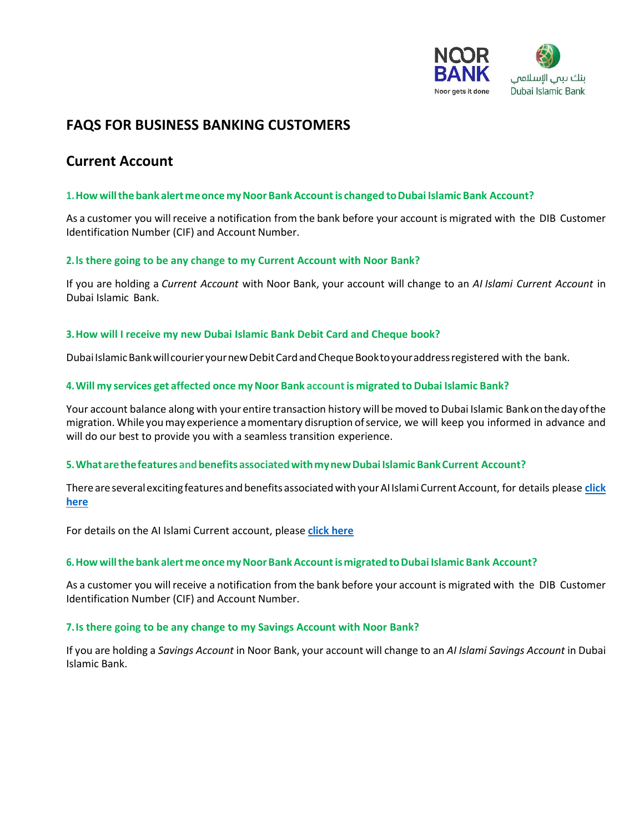

# **FAQS FOR BUSINESS BANKING CUSTOMERS**

# **Current Account**

#### **1.Howwillthebank alertmeonce myNoorBankAccountis changed toDubai Islamic Bank Account?**

As a customer you willreceive a notification from the bank before your account is migrated with the DIB Customer Identification Number (CIF) and Account Number.

#### **2.ls there going to be any change to my Current Account with Noor Bank?**

If you are holding a *Current Account* with Noor Bank, your account will change to an *AI Islami Current Account* in Dubai Islamic Bank.

#### **3.How will I receive my new Dubai Islamic Bank Debit Card and Cheque book?**

Dubai Islamic Bank will courier your new Debit Card and Cheque Book to your address registered with the bank.

#### **4.Will my services get affected once myNoor Bank accountis migrated to Dubai Islamic Bank?**

Your account balance along with your entire transaction history will be moved to Dubai Islamic Bank on the day of the migration. While youmayexperience amomentary disruption ofservice, we will keep you informed in advance and will do our best to provide you with a seamless transition experience.

## **5.Whatarethefeatures andbenefits associatedwithmynewDubai IslamicBankCurrent Account?**

Thereareseveralexcitingfeatures andbenefits associated with yourAIIslami CurrentAccount, for details please **[click](https://www.dib.ae/personal/Accounts/current-Accounts/aI-%20isIami-current-Account)  [here](https://www.dib.ae/personal/Accounts/current-Accounts/aI-%20isIami-current-Account)**

For details on the AI Islami Current account, please **[click here](https://www.dib.ae/personal/accounts?account=all-accounts&benefit=all-benefits&visible=6)**

#### **6.Howwillthebank alertmeoncemyNoorBankAccountismigrated toDubai Islamic Bank Account?**

As a customer you willreceive a notification from the bank before your account is migrated with the DIB Customer Identification Number (CIF) and Account Number.

## **7.Is there going to be any change to my Savings Account with Noor Bank?**

If you are holding a *Savings Account* in Noor Bank, your account will change to an *AI Islami Savings Account* in Dubai Islamic Bank.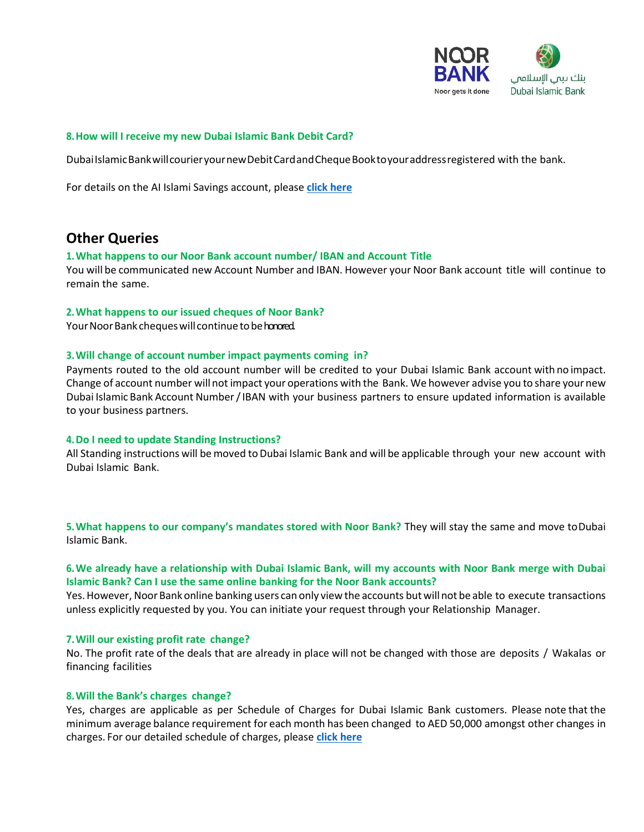

#### **8.How will I receive my new Dubai Islamic Bank Debit Card?**

DubaiIslamicBankwillcourieryournewDebitCardandChequeBooktoyouraddressregistered with the bank.

For details on the AI Islami Savings account, please **[click here](https://www.dib.ae/personal/accounts/saving-accounts/al-islami-savings-account)**

# **Other Queries**

#### **1.What happens to our Noor Bank account number/ IBAN and Account Title**

You will be communicated new Account Number and IBAN. However your Noor Bank account title will continue to remain the same.

#### **2.What happens to our issued cheques of Noor Bank?**

Your Noor Bank cheques will continue to be honored.

#### **3.Will change of account number impact payments coming in?**

Payments routed to the old account number will be credited to your Dubai Islamic Bank account with no impact. Change of account number willnot impact your operations with the Bank. We however advise you to share your new Dubai Islamic Bank Account Number/IBAN with your business partners to ensure updated information is available to your business partners.

#### **4.Do I need to update Standing Instructions?**

All Standing instructions will be moved to Dubai Islamic Bank and will be applicable through your new account with Dubai Islamic Bank.

**5.What happens to our company's mandates stored with Noor Bank?** They will stay the same and move toDubai Islamic Bank.

## **6.We already have a relationship with Dubai Islamic Bank, will my accounts with Noor Bank merge with Dubai Islamic Bank? Can I use the same online banking for the Noor Bank accounts?**

Yes.However, NoorBank online banking users can only view the accounts but willnot be able to execute transactions unless explicitly requested by you. You can initiate your request through your Relationship Manager.

#### **7.Will our existing profit rate change?**

No. The profit rate of the deals that are already in place will not be changed with those are deposits / Wakalas or financing facilities

#### **8.Will the Bank's charges change?**

Yes, charges are applicable as per Schedule of Charges for Dubai Islamic Bank customers. Please note that the minimum average balance requirement for each month has been changed to AED 50,000 amongst other changes in charges. For our detailed schedule of charges, please **[click here](https://www.dib.ae/soc)**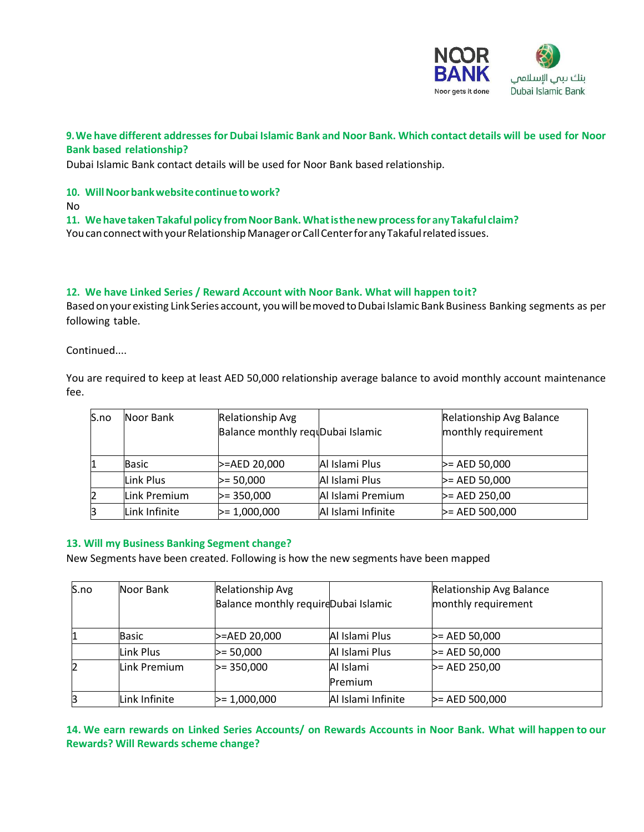

# **9.We have different addresses for Dubai Islamic Bank and Noor Bank. Which contact details will be used for Noor Bank based relationship?**

Dubai Islamic Bank contact details will be used for Noor Bank based relationship.

## **10. WillNoorbankwebsitecontinuetowork?**

No

**11. Wehave taken Takaful policy fromNoorBank.Whatisthenewprocessforany Takaful claim?**  You can connect with your Relationship Manager or Call Center for any Takaful related issues.

#### **12. We have Linked Series / Reward Account with Noor Bank. What will happen toit?**

Based on your existing Link Series account, you will be moved to Dubai Islamic Bank Business Banking segments as per following table.

Continued....

You are required to keep at least AED 50,000 relationship average balance to avoid monthly account maintenance fee.

| S.no | Noor Bank     | Relationship Avg<br>Balance monthly requDubai Islamic |                    | <b>Relationship Avg Balance</b><br>monthly requirement |
|------|---------------|-------------------------------------------------------|--------------------|--------------------------------------------------------|
|      | Basic         | >=AED 20,000                                          | Al Islami Plus     | $>=$ AED 50,000                                        |
|      | Link Plus     | $>= 50,000$                                           | Al Islami Plus     | $>=$ AED 50,000                                        |
| 2    | Link Premium  | $>= 350,000$                                          | Al Islami Premium  | $> = AED 250,00$                                       |
| β    | Link Infinite | $>= 1,000,000$                                        | Al Islami Infinite | $>=$ AED 500,000                                       |

## **13. Will my Business Banking Segment change?**

New Segments have been created. Following is how the new segments have been mapped

| S.no | Noor Bank     | <b>Relationship Avg</b>              |                    | Relationship Avg Balance |
|------|---------------|--------------------------------------|--------------------|--------------------------|
|      |               | Balance monthly requireDubai Islamic |                    | monthly requirement      |
|      |               |                                      |                    |                          |
|      | <b>Basic</b>  | >=AED 20,000                         | Al Islami Plus     | $>=$ AED 50,000          |
|      | Link Plus     | $>= 50,000$                          | Al Islami Plus     | $> = AED 50,000$         |
|      | Link Premium  | $>= 350,000$                         | Al Islami          | $>=$ AED 250,00          |
|      |               |                                      | Premium            |                          |
|      | Link Infinite | $>= 1,000,000$                       | Al Islami Infinite | $\geq$ AED 500,000       |

**14. We earn rewards on Linked Series Accounts/ on Rewards Accounts in Noor Bank. What will happen to our Rewards? Will Rewards scheme change?**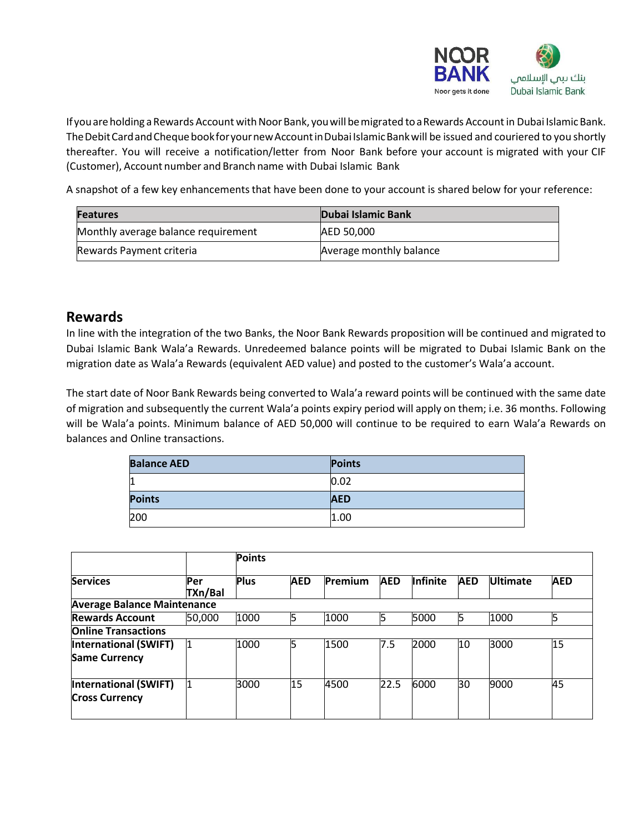

If you are holding a Rewards Account with Noor Bank, you will be migrated to a Rewards Account in Dubai Islamic Bank. The Debit Card and Cheque book for your new Account in Dubai Islamic Bank will be issued and couriered to you shortly thereafter. You will receive a notification/letter from Noor Bank before your account is migrated with your CIF (Customer), Account number and Branch name with Dubai Islamic Bank

A snapshot of a few key enhancements that have been done to your account is shared below for your reference:

| <b>Features</b>                     | <b>Dubai Islamic Bank</b> |
|-------------------------------------|---------------------------|
| Monthly average balance requirement | AED 50.000                |
| Rewards Payment criteria            | Average monthly balance   |

# **Rewards**

In line with the integration of the two Banks, the Noor Bank Rewards proposition will be continued and migrated to Dubai Islamic Bank Wala'a Rewards. Unredeemed balance points will be migrated to Dubai Islamic Bank on the migration date as Wala'a Rewards (equivalent AED value) and posted to the customer's Wala'a account.

The start date of Noor Bank Rewards being converted to Wala'a reward points will be continued with the same date of migration and subsequently the current Wala'a points expiry period will apply on them; i.e. 36 months. Following will be Wala'a points. Minimum balance of AED 50,000 will continue to be required to earn Wala'a Rewards on balances and Online transactions.

| <b>Balance AED</b> | <b>Points</b> |
|--------------------|---------------|
| 11                 | 0.02          |
| <b>Points</b>      | <b>AED</b>    |
| 200                | 1.00          |

|                                    |                | <b>Points</b> |            |         |            |                 |            |                 |            |
|------------------------------------|----------------|---------------|------------|---------|------------|-----------------|------------|-----------------|------------|
| <b>Services</b>                    | Per<br>TXn/Bal | <b>Plus</b>   | <b>AED</b> | Premium | <b>AED</b> | <b>Infinite</b> | <b>AED</b> | <b>Ultimate</b> | <b>AED</b> |
| <b>Average Balance Maintenance</b> |                |               |            |         |            |                 |            |                 |            |
| <b>Rewards Account</b>             | 50,000         | 1000          | 15.        | 1000    | 15         | 5000            | 5          | 1000            |            |
| <b>Online Transactions</b>         |                |               |            |         |            |                 |            |                 |            |
| <b>International (SWIFT)</b>       |                | 1000          | 15         | 1500    | 7.5        | 2000            | 10         | 3000            | 15         |
| <b>Same Currency</b>               |                |               |            |         |            |                 |            |                 |            |
| <b>International (SWIFT)</b>       |                | 3000          | 15         | 4500    | 22.5       | 6000            | 30         | 9000            | 45         |
| <b>Cross Currency</b>              |                |               |            |         |            |                 |            |                 |            |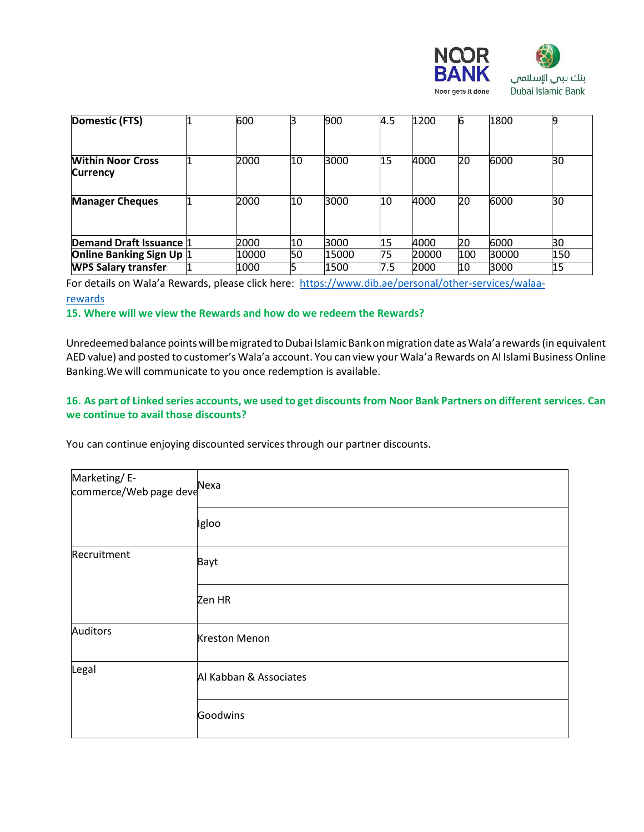

| Domestic (FTS)                              | 600   |    | 900   | 4.5 | 1200  | 6   | 1800  |     |
|---------------------------------------------|-------|----|-------|-----|-------|-----|-------|-----|
| <b>Within Noor Cross</b><br><b>Currency</b> | 2000  | 10 | 3000  | 15  | 4000  | 20  | 6000  | 30  |
| <b>Manager Cheques</b>                      | 2000  | 10 | 3000  | 10  | 4000  | 20  | 6000  | 30  |
| Demand Draft Issuance 1                     | 2000  | 10 | 3000  | 15  | 4000  | 20  | 6000  | 30  |
| <b>Online Banking Sign Up 1</b>             | 10000 | 50 | 15000 | 75  | 20000 | 100 | 30000 | 150 |
| <b>WPS Salary transfer</b>                  | 1000  | 5  | 1500  | 7.5 | 2000  | 10  | 3000  | 15  |

For details on Wala'a Rewards, please click here: [https://www.dib.ae/personal/other-services/walaa](https://www.dib.ae/personal/other-services/walaa-rewards)[rewards](https://www.dib.ae/personal/other-services/walaa-rewards)

## **15. Where will we view the Rewards and how do we redeem the Rewards?**

Unredeemed balance points will be migrated to Dubai Islamic Bank on migration date as Wala'a rewards (in equivalent AED value) and posted to customer's Wala'a account. You can view your Wala'a Rewards on Al Islami Business Online Banking.We will communicate to you once redemption is available.

## 16. As part of Linked series accounts, we used to get discounts from Noor Bank Partners on different services. Can **we continue to avail those discounts?**

You can continue enjoying discounted services through our partner discounts.

| Marketing/E-<br>commerce/Web page deve |                        |  |  |  |
|----------------------------------------|------------------------|--|--|--|
|                                        | Igloo                  |  |  |  |
| Recruitment                            | Bayt                   |  |  |  |
|                                        | Zen HR                 |  |  |  |
| <b>Auditors</b>                        | <b>Kreston Menon</b>   |  |  |  |
| Legal                                  | Al Kabban & Associates |  |  |  |
|                                        | Goodwins               |  |  |  |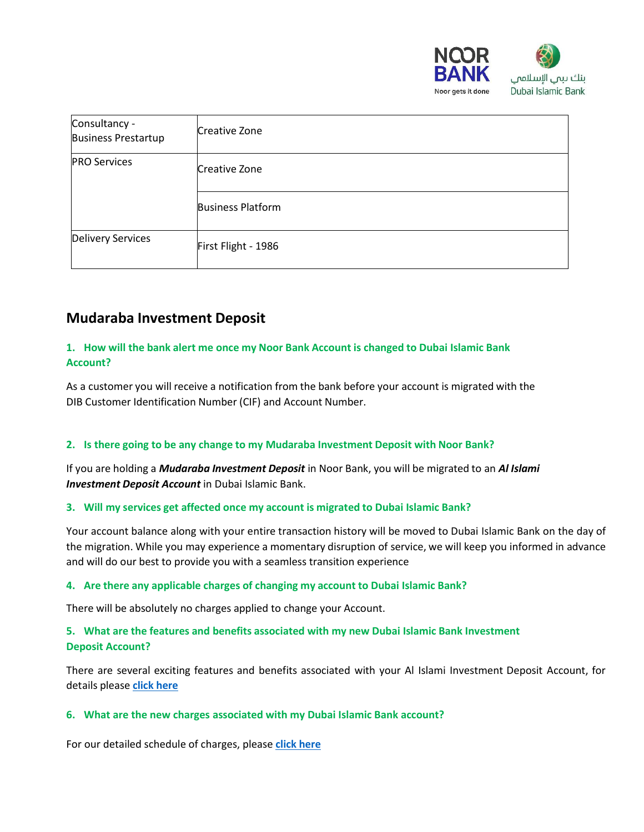

| Consultancy -<br><b>Business Prestartup</b> | Creative Zone            |
|---------------------------------------------|--------------------------|
| <b>PRO Services</b>                         | Creative Zone            |
|                                             | <b>Business Platform</b> |
| <b>Delivery Services</b>                    | First Flight - 1986      |

# **Mudaraba Investment Deposit**

# **1. How will the bank alert me once my Noor Bank Account is changed to Dubai Islamic Bank Account?**

As a customer you will receive a notification from the bank before your account is migrated with the DIB Customer Identification Number (CIF) and Account Number.

# **2. Is there going to be any change to my Mudaraba Investment Deposit with Noor Bank?**

If you are holding a *Mudaraba Investment Deposit* in Noor Bank, you will be migrated to an *Al Islami Investment Deposit Account* in Dubai Islamic Bank.

## **3. Will my services get affected once my account is migrated to Dubai Islamic Bank?**

Your account balance along with your entire transaction history will be moved to Dubai Islamic Bank on the day of the migration. While you may experience a momentary disruption of service, we will keep you informed in advance and will do our best to provide you with a seamless transition experience

## **4. Are there any applicable charges of changing my account to Dubai Islamic Bank?**

There will be absolutely no charges applied to change your Account.

# **5. What are the features and benefits associated with my new Dubai Islamic Bank Investment Deposit Account?**

There are several exciting features and benefits associated with your Al Islami Investment Deposit Account, for details please **click [here](https://www.dib.ae/personal/deposits/al-islami-investment-%20deposit-account)**

## **6. What are the new charges associated with my Dubai Islamic Bank account?**

For our detailed schedule of charges, please **click [here](https://www.dib.ae/soc)**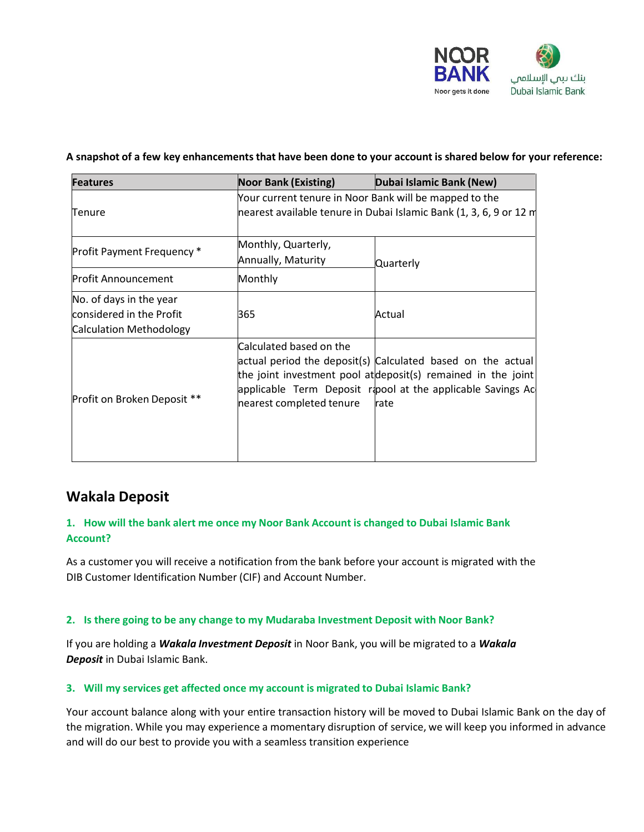

### **A snapshot of a few key enhancementsthat have been done to your account is shared below for your reference:**

| <b>Features</b>                                                                | <b>Noor Bank (Existing)</b>                         | Dubai Islamic Bank (New)                                                                                                                                                                            |
|--------------------------------------------------------------------------------|-----------------------------------------------------|-----------------------------------------------------------------------------------------------------------------------------------------------------------------------------------------------------|
| Tenure                                                                         |                                                     | Your current tenure in Noor Bank will be mapped to the<br>nearest available tenure in Dubai Islamic Bank (1, 3, 6, 9 or 12 m                                                                        |
| Profit Payment Frequency *                                                     | Monthly, Quarterly,<br>Annually, Maturity           | Quarterly                                                                                                                                                                                           |
| <b>Profit Announcement</b>                                                     | Monthly                                             |                                                                                                                                                                                                     |
| No. of days in the year<br>considered in the Profit<br>Calculation Methodology | 365                                                 | Actual                                                                                                                                                                                              |
| Profit on Broken Deposit **                                                    | Calculated based on the<br>nearest completed tenure | actual period the deposit(s) Calculated based on the actual<br>the joint investment pool at deposit(s) remained in the joint<br>applicable Term Deposit rapool at the applicable Savings Ac<br>rate |

# **Wakala Deposit**

# **1. How will the bank alert me once my Noor Bank Account is changed to Dubai Islamic Bank Account?**

As a customer you will receive a notification from the bank before your account is migrated with the DIB Customer Identification Number (CIF) and Account Number.

## **2. Is there going to be any change to my Mudaraba Investment Deposit with Noor Bank?**

If you are holding a *Wakala Investment Deposit* in Noor Bank, you will be migrated to a *Wakala Deposit* in Dubai Islamic Bank.

## **3. Will my services get affected once my account is migrated to Dubai Islamic Bank?**

Your account balance along with your entire transaction history will be moved to Dubai Islamic Bank on the day of the migration. While you may experience a momentary disruption of service, we will keep you informed in advance and will do our best to provide you with a seamless transition experience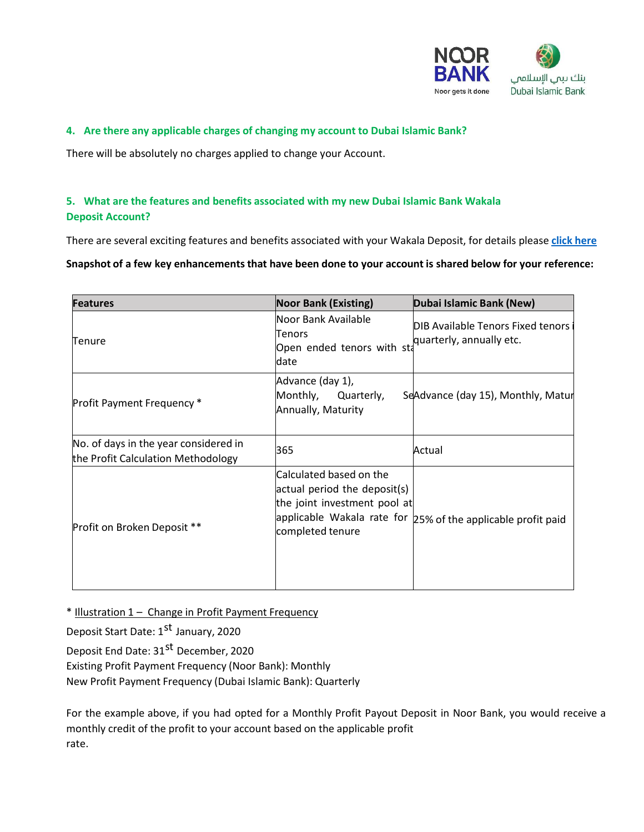

## **4. Are there any applicable charges of changing my account to Dubai Islamic Bank?**

There will be absolutely no charges applied to change your Account.

# **5. What are the features and benefits associated with my new Dubai Islamic Bank Wakala Deposit Account?**

There are several exciting features and benefits associated with your Wakala Deposit, for details please **click [here](https://www.dib.ae/personal/deposits?deposit=all-wakala-deposit)**

**Snapshot of a few key enhancementsthat have been done to your account is shared below for your reference:**

| <b>Features</b>                                                             | <b>Noor Bank (Existing)</b>                                                                                 | Dubai Islamic Bank (New)                                        |
|-----------------------------------------------------------------------------|-------------------------------------------------------------------------------------------------------------|-----------------------------------------------------------------|
| Tenure                                                                      | Noor Bank Available<br>Tenors<br>Open ended tenors with st<br>date                                          | DIB Available Tenors Fixed tenors i<br>quarterly, annually etc. |
| Profit Payment Frequency*                                                   | Advance (day 1),<br>Monthly,<br>Quarterly,<br>Annually, Maturity                                            | SeAdvance (day 15), Monthly, Matur                              |
| No. of days in the year considered in<br>the Profit Calculation Methodology | 365                                                                                                         | Actual                                                          |
| Profit on Broken Deposit **                                                 | Calculated based on the<br>actual period the deposit(s)<br>the joint investment pool at<br>completed tenure | applicable Wakala rate for 25% of the applicable profit paid    |

\* Illustration 1 – Change in Profit Payment Frequency

Deposit Start Date: 1<sup>st</sup> January, 2020

Deposit End Date: 31<sup>st</sup> December, 2020 Existing Profit Payment Frequency (Noor Bank): Monthly New Profit Payment Frequency (Dubai Islamic Bank): Quarterly

For the example above, if you had opted for a Monthly Profit Payout Deposit in Noor Bank, you would receive a monthly credit of the profit to your account based on the applicable profit rate.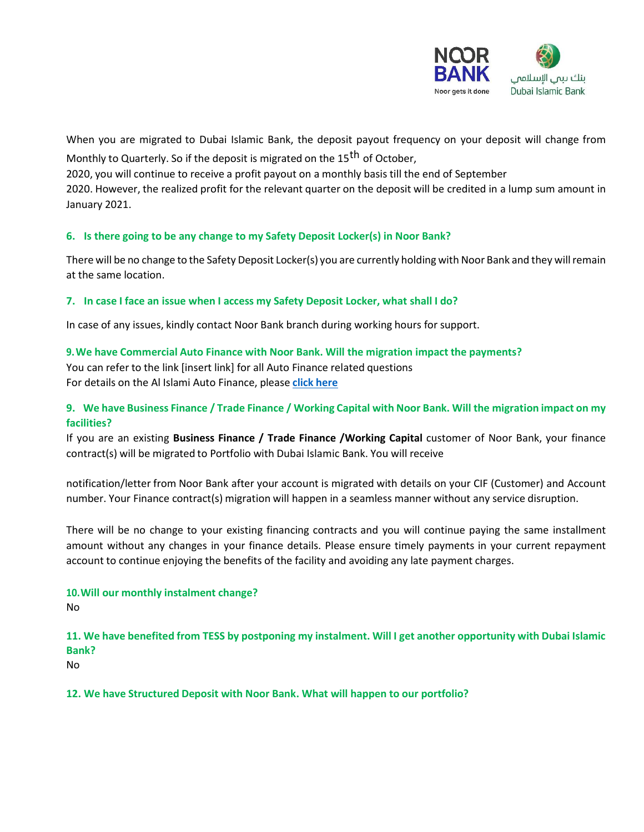

When you are migrated to Dubai Islamic Bank, the deposit payout frequency on your deposit will change from Monthly to Quarterly. So if the deposit is migrated on the 15<sup>th</sup> of October,

2020, you will continue to receive a profit payout on a monthly basis till the end of September 2020. However, the realized profit for the relevant quarter on the deposit will be credited in a lump sum amount in January 2021.

# **6. Is there going to be any change to my Safety Deposit Locker(s) in Noor Bank?**

There will be no change to the Safety Deposit Locker(s) you are currently holding with Noor Bank and they willremain at the same location.

# **7. In case I face an issue when I access my Safety Deposit Locker, what shall I do?**

In case of any issues, kindly contact Noor Bank branch during working hours for support.

# **9.We have Commercial Auto Finance with Noor Bank. Will the migration impact the payments?**

You can refer to the link [insert link] for all Auto Finance related questions For details on the Al Islami Auto Finance, please **click [here](https://www.dib.ae/personal/auto-finance/al-islami-auto-finance)**

# **9. We have Business Finance / Trade Finance / Working Capital with Noor Bank. Will the migration impact on my facilities?**

If you are an existing **Business Finance / Trade Finance /Working Capital** customer of Noor Bank, your finance contract(s) will be migrated to Portfolio with Dubai Islamic Bank. You will receive

notification/letter from Noor Bank after your account is migrated with details on your CIF (Customer) and Account number. Your Finance contract(s) migration will happen in a seamless manner without any service disruption.

There will be no change to your existing financing contracts and you will continue paying the same installment amount without any changes in your finance details. Please ensure timely payments in your current repayment account to continue enjoying the benefits of the facility and avoiding any late payment charges.

# **10.Will our monthly instalment change?**

No

# **11. We have benefited from TESS by postponing my instalment. Will I get another opportunity with Dubai Islamic Bank?**

No

# **12. We have Structured Deposit with Noor Bank. What will happen to our portfolio?**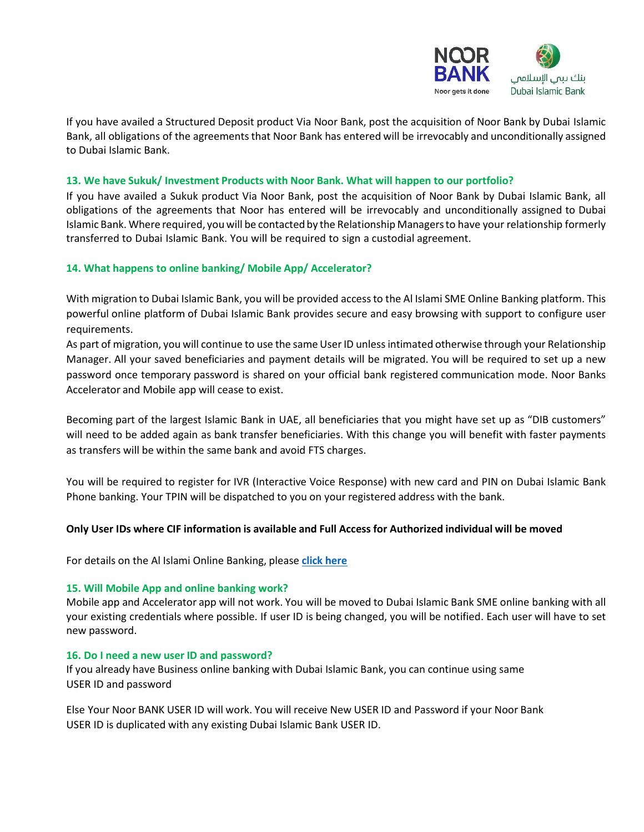

If you have availed a Structured Deposit product Via Noor Bank, post the acquisition of Noor Bank by Dubai Islamic Bank, all obligations of the agreements that Noor Bank has entered will be irrevocably and unconditionally assigned to Dubai Islamic Bank.

#### **13. We have Sukuk/ Investment Products with Noor Bank. What will happen to our portfolio?**

If you have availed a Sukuk product Via Noor Bank, post the acquisition of Noor Bank by Dubai Islamic Bank, all obligations of the agreements that Noor has entered will be irrevocably and unconditionally assigned to Dubai Islamic Bank. Where required, you will be contacted by the Relationship Managers to have your relationship formerly transferred to Dubai Islamic Bank. You will be required to sign a custodial agreement.

## **14. What happens to online banking/ Mobile App/ Accelerator?**

With migration to Dubai Islamic Bank, you will be provided accessto the Al Islami SME Online Banking platform. This powerful online platform of Dubai Islamic Bank provides secure and easy browsing with support to configure user requirements.

As part of migration, you will continue to use the same User ID unless intimated otherwise through your Relationship Manager. All your saved beneficiaries and payment details will be migrated. You will be required to set up a new password once temporary password is shared on your official bank registered communication mode. Noor Banks Accelerator and Mobile app will cease to exist.

Becoming part of the largest Islamic Bank in UAE, all beneficiaries that you might have set up as "DIB customers" will need to be added again as bank transfer beneficiaries. With this change you will benefit with faster payments as transfers will be within the same bank and avoid FTS charges.

You will be required to register for IVR (Interactive Voice Response) with new card and PIN on Dubai Islamic Bank Phone banking. Your TPIN will be dispatched to you on your registered address with the bank.

## **Only User IDs where CIF information is available and Full Access for Authorized individual will be moved**

For details on the Al Islami Online Banking, please **click [here](https://online.dib.ae/)**

#### **15. Will Mobile App and online banking work?**

Mobile app and Accelerator app will not work. You will be moved to Dubai Islamic Bank SME online banking with all your existing credentials where possible. If user ID is being changed, you will be notified. Each user will have to set new password.

#### **16. Do I need a new user ID and password?**

If you already have Business online banking with Dubai Islamic Bank, you can continue using same USER ID and password

Else Your Noor BANK USER ID will work. You will receive New USER ID and Password if your Noor Bank USER ID is duplicated with any existing Dubai Islamic Bank USER ID.